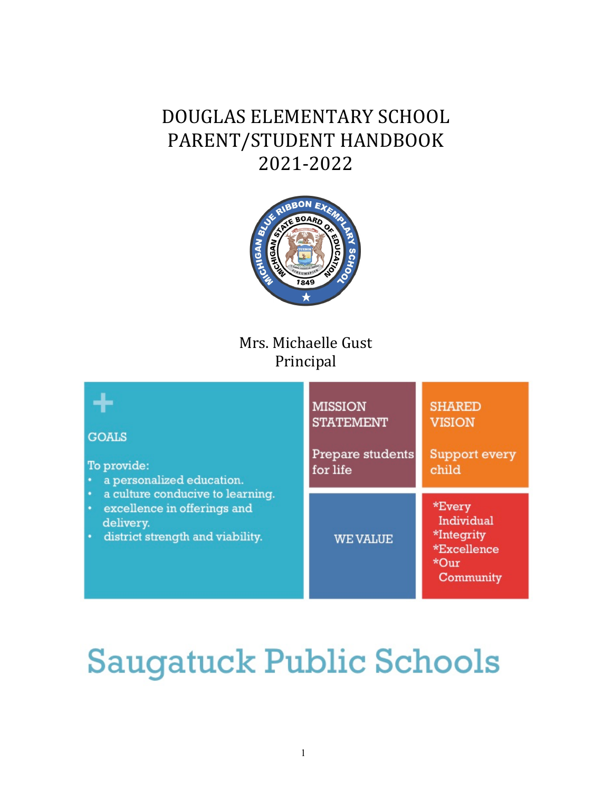# DOUGLAS ELEMENTARY SCHOOL PARENT/STUDENT HANDBOOK 2021-2022



# Mrs. Michaelle Gust Principal



# **Saugatuck Public Schools**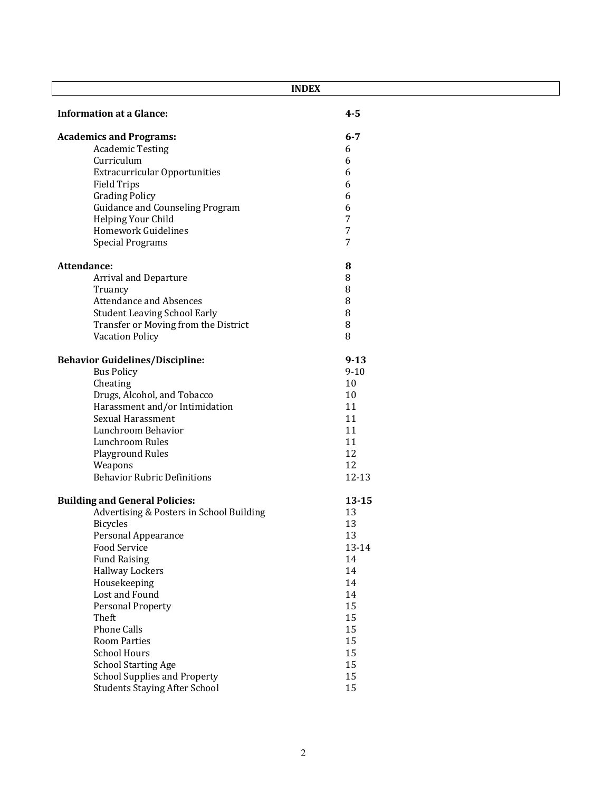| <b>INDEX</b>                             |           |  |
|------------------------------------------|-----------|--|
| <b>Information at a Glance:</b>          | $4 - 5$   |  |
| <b>Academics and Programs:</b>           | $6 - 7$   |  |
| <b>Academic Testing</b>                  | 6         |  |
| Curriculum                               | 6         |  |
| <b>Extracurricular Opportunities</b>     | 6         |  |
| <b>Field Trips</b>                       | 6         |  |
| <b>Grading Policy</b>                    | 6         |  |
| <b>Guidance and Counseling Program</b>   | 6         |  |
| Helping Your Child                       | 7         |  |
| <b>Homework Guidelines</b>               | 7         |  |
| <b>Special Programs</b>                  | 7         |  |
| Attendance:                              | 8         |  |
| <b>Arrival and Departure</b>             | 8         |  |
| Truancy                                  | 8         |  |
| <b>Attendance and Absences</b>           | 8         |  |
| <b>Student Leaving School Early</b>      | 8         |  |
| Transfer or Moving from the District     | $\, 8$    |  |
| <b>Vacation Policy</b>                   | 8         |  |
| <b>Behavior Guidelines/Discipline:</b>   | $9 - 13$  |  |
| <b>Bus Policy</b>                        | $9 - 10$  |  |
| Cheating                                 | 10        |  |
| Drugs, Alcohol, and Tobacco              | 10        |  |
| Harassment and/or Intimidation           | 11        |  |
| <b>Sexual Harassment</b>                 | 11        |  |
| Lunchroom Behavior                       | 11        |  |
| Lunchroom Rules                          | 11        |  |
| <b>Playground Rules</b>                  | 12        |  |
| Weapons                                  | 12        |  |
| <b>Behavior Rubric Definitions</b>       | 12-13     |  |
| <b>Building and General Policies:</b>    | $13 - 15$ |  |
| Advertising & Posters in School Building | 13        |  |
| <b>Bicycles</b>                          | 13        |  |
| <b>Personal Appearance</b>               | 13        |  |
| Food Service                             | 13-14     |  |
| <b>Fund Raising</b>                      | 14        |  |
| <b>Hallway Lockers</b>                   | 14        |  |
| Housekeeping                             | 14        |  |
| Lost and Found                           | 14        |  |
| Personal Property                        | 15        |  |
| Theft                                    | 15        |  |
| <b>Phone Calls</b>                       | 15        |  |
| <b>Room Parties</b>                      | 15        |  |
| <b>School Hours</b>                      | 15        |  |
| <b>School Starting Age</b>               | 15        |  |
| <b>School Supplies and Property</b>      | 15        |  |
| <b>Students Staying After School</b>     | 15        |  |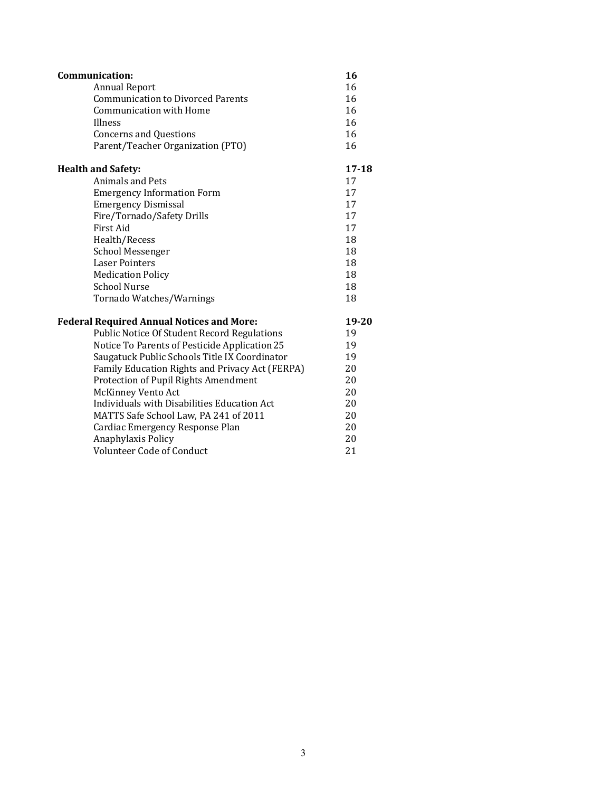| Communication:                                     | 16        |
|----------------------------------------------------|-----------|
| <b>Annual Report</b>                               | 16        |
| <b>Communication to Divorced Parents</b>           | 16        |
| <b>Communication with Home</b>                     | 16        |
| Illness                                            | 16        |
| <b>Concerns and Questions</b>                      | 16        |
| Parent/Teacher Organization (PTO)                  | 16        |
| <b>Health and Safety:</b>                          | $17 - 18$ |
| Animals and Pets                                   | 17        |
| <b>Emergency Information Form</b>                  | 17        |
| <b>Emergency Dismissal</b>                         | 17        |
| Fire/Tornado/Safety Drills                         | 17        |
| First Aid                                          | 17        |
| Health/Recess                                      | 18        |
| <b>School Messenger</b>                            | 18        |
| <b>Laser Pointers</b>                              | 18        |
| <b>Medication Policy</b>                           | 18        |
| <b>School Nurse</b>                                | 18        |
| Tornado Watches/Warnings                           | 18        |
| <b>Federal Required Annual Notices and More:</b>   | 19-20     |
| <b>Public Notice Of Student Record Regulations</b> | 19        |
| Notice To Parents of Pesticide Application 25      | 19        |
| Saugatuck Public Schools Title IX Coordinator      | 19        |
| Family Education Rights and Privacy Act (FERPA)    | 20        |
| Protection of Pupil Rights Amendment               | 20        |
| <b>McKinney Vento Act</b>                          | 20        |
| Individuals with Disabilities Education Act        | 20        |
| MATTS Safe School Law, PA 241 of 2011              | 20        |
| Cardiac Emergency Response Plan                    | 20        |
| Anaphylaxis Policy                                 | 20        |
| Volunteer Code of Conduct                          | 21        |
|                                                    |           |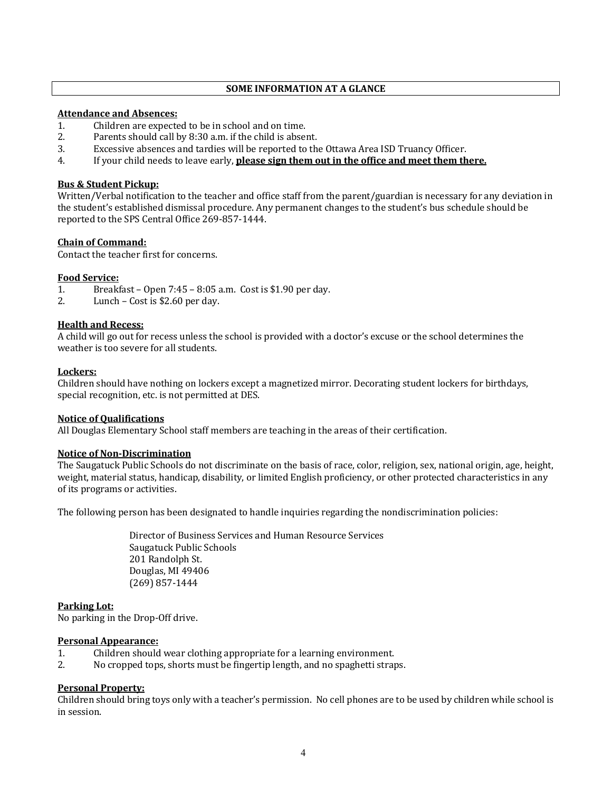# **SOME INFORMATION AT A GLANCE**

# **Attendance and Absences:**

- 1. Children are expected to be in school and on time.
- 2. Parents should call by 8:30 a.m. if the child is absent.
- 3. Excessive absences and tardies will be reported to the Ottawa Area ISD Truancy Officer.
- 4. If your child needs to leave early, **please sign them out in the office and meet them there.**

# **Bus & Student Pickup:**

Written/Verbal notification to the teacher and office staff from the parent/guardian is necessary for any deviation in the student's established dismissal procedure. Any permanent changes to the student's bus schedule should be reported to the SPS Central Office 269-857-1444.

# **Chain of Command:**

Contact the teacher first for concerns.

# **Food Service:**

- 1. Breakfast Open  $7:45 8:05$  a.m. Cost is \$1.90 per day.
- 2. Lunch Cost is  $$2.60$  per day.

# **Health and Recess:**

A child will go out for recess unless the school is provided with a doctor's excuse or the school determines the weather is too severe for all students.

#### **Lockers:**

Children should have nothing on lockers except a magnetized mirror. Decorating student lockers for birthdays, special recognition, etc. is not permitted at DES.

#### **Notice of Qualifications**

All Douglas Elementary School staff members are teaching in the areas of their certification.

#### **Notice of Non-Discrimination**

The Saugatuck Public Schools do not discriminate on the basis of race, color, religion, sex, national origin, age, height, weight, material status, handicap, disability, or limited English proficiency, or other protected characteristics in any of its programs or activities.

The following person has been designated to handle inquiries regarding the nondiscrimination policies:

Director of Business Services and Human Resource Services Saugatuck Public Schools 201 Randolph St. Douglas, MI 49406 (269) 857-1444

#### **Parking Lot:**

No parking in the Drop-Off drive.

#### **Personal Appearance:**

- 1. Children should wear clothing appropriate for a learning environment.
- 2. No cropped tops, shorts must be fingertip length, and no spaghetti straps.

#### **Personal Property:**

Children should bring toys only with a teacher's permission. No cell phones are to be used by children while school is in session.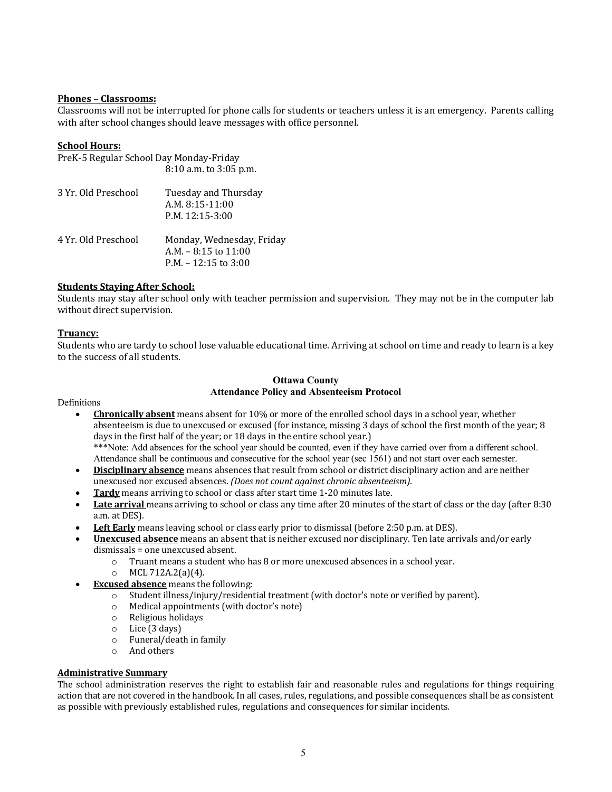# **Phones – Classrooms:**

Classrooms will not be interrupted for phone calls for students or teachers unless it is an emergency. Parents calling with after school changes should leave messages with office personnel.

# **School Hours:**

| PreK-5 Regular School Day Monday-Friday |                                                                |  |
|-----------------------------------------|----------------------------------------------------------------|--|
|                                         | 8:10 a.m. to 3:05 p.m.                                         |  |
| 3 Yr. Old Preschool                     | Tuesday and Thursday<br>$A.M. 8:15-11:00$<br>$P.M. 12:15-3:00$ |  |
| 4 Yr. Old Preschool                     | Monday, Wednesday, Friday                                      |  |
|                                         | A.M. $-8:15$ to $11:00$<br>$P.M. - 12:15$ to 3:00              |  |

# **Students Staying After School:**

Students may stay after school only with teacher permission and supervision. They may not be in the computer lab without direct supervision.

#### **Truancy:**

Students who are tardy to school lose valuable educational time. Arriving at school on time and ready to learn is a key to the success of all students.

# **Ottawa County Attendance Policy and Absenteeism Protocol**

**Definitions** 

- **Chronically absent** means absent for 10% or more of the enrolled school days in a school year, whether absenteeism is due to unexcused or excused (for instance, missing 3 days of school the first month of the year; 8 days in the first half of the year; or 18 days in the entire school year.) \*\*\*Note: Add absences for the school year should be counted, even if they have carried over from a different school.
	- Attendance shall be continuous and consecutive for the school year (sec 1561) and not start over each semester.
- **Disciplinary absence** means absences that result from school or district disciplinary action and are neither unexcused nor excused absences. *(Does not count against chronic absenteeism)*.
- **Tardy** means arriving to school or class after start time 1-20 minutes late.
- **Late arrival** means arriving to school or class any time after 20 minutes of the start of class or the day (after 8:30) a.m. at DES).
- Left Early means leaving school or class early prior to dismissal (before 2:50 p.m. at DES).
- **Unexcused absence** means an absent that is neither excused nor disciplinary. Ten late arrivals and/or early dismissals = one unexcused absent.
	- o Truant means a student who has 8 or more unexcused absences in a school year.
	- $O$  MCL 712A.2(a)(4).
- **Excused absence** means the following:
	- $\circ$  Student illness/injury/residential treatment (with doctor's note or verified by parent).
	- $\circ$  Medical appointments (with doctor's note)
	- $\circ$  Religious holidays
	- $\circ$  Lice (3 days)
	- $\circ$  Funeral/death in family
	- $\circ$  And others

# **Administrative Summary**

The school administration reserves the right to establish fair and reasonable rules and regulations for things requiring action that are not covered in the handbook. In all cases, rules, regulations, and possible consequences shall be as consistent as possible with previously established rules, regulations and consequences for similar incidents.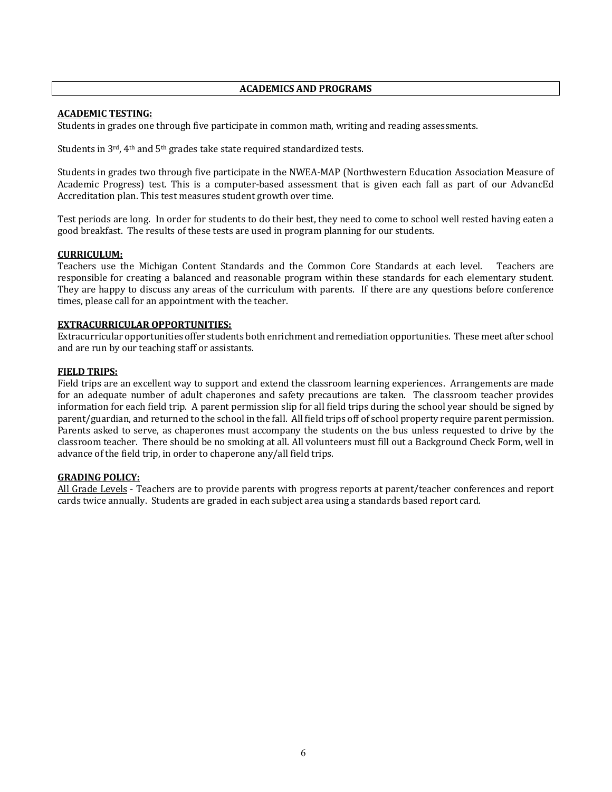# **ACADEMICS AND PROGRAMS**

# **ACADEMIC TESTING:**

Students in grades one through five participate in common math, writing and reading assessments.

Students in  $3^{\text{rd}}$ ,  $4^{\text{th}}$  and  $5^{\text{th}}$  grades take state required standardized tests.

Students in grades two through five participate in the NWEA-MAP (Northwestern Education Association Measure of Academic Progress) test. This is a computer-based assessment that is given each fall as part of our AdvancEd Accreditation plan. This test measures student growth over time.

Test periods are long. In order for students to do their best, they need to come to school well rested having eaten a good breakfast. The results of these tests are used in program planning for our students.

# **CURRICULUM:**

Teachers use the Michigan Content Standards and the Common Core Standards at each level. Teachers are responsible for creating a balanced and reasonable program within these standards for each elementary student. They are happy to discuss any areas of the curriculum with parents. If there are any questions before conference times, please call for an appointment with the teacher.

# **EXTRACURRICULAR OPPORTUNITIES:**

Extracurricular opportunities offer students both enrichment and remediation opportunities. These meet after school and are run by our teaching staff or assistants.

# **FIELD TRIPS:**

Field trips are an excellent way to support and extend the classroom learning experiences. Arrangements are made for an adequate number of adult chaperones and safety precautions are taken. The classroom teacher provides information for each field trip. A parent permission slip for all field trips during the school year should be signed by parent/guardian, and returned to the school in the fall. All field trips off of school property require parent permission. Parents asked to serve, as chaperones must accompany the students on the bus unless requested to drive by the classroom teacher. There should be no smoking at all. All volunteers must fill out a Background Check Form, well in advance of the field trip, in order to chaperone any/all field trips.

# **GRADING POLICY:**

All Grade Levels - Teachers are to provide parents with progress reports at parent/teacher conferences and report cards twice annually. Students are graded in each subject area using a standards based report card.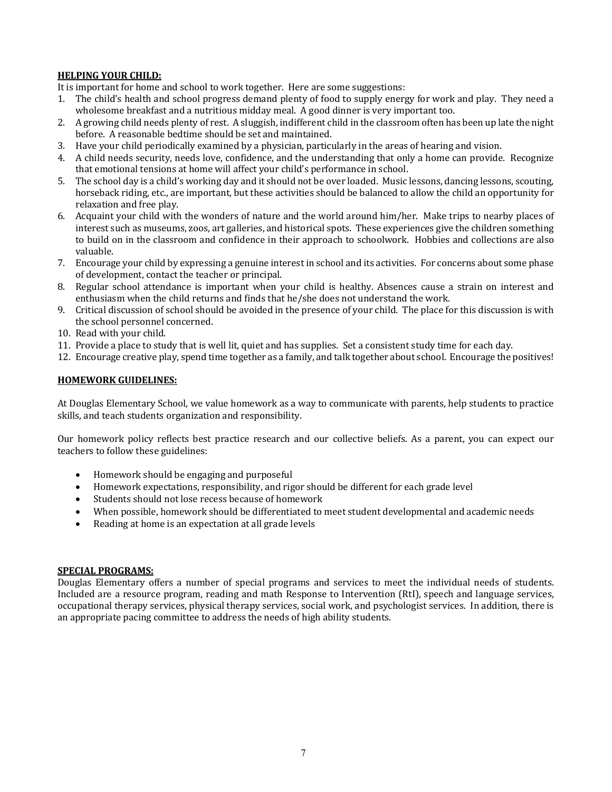# **HELPING YOUR CHILD:**

It is important for home and school to work together. Here are some suggestions:

- 1. The child's health and school progress demand plenty of food to supply energy for work and play. They need a wholesome breakfast and a nutritious midday meal. A good dinner is very important too.
- 2. A growing child needs plenty of rest. A sluggish, indifferent child in the classroom often has been up late the night before. A reasonable bedtime should be set and maintained.
- 3. Have your child periodically examined by a physician, particularly in the areas of hearing and vision.
- 4. A child needs security, needs love, confidence, and the understanding that only a home can provide. Recognize that emotional tensions at home will affect your child's performance in school.
- 5. The school day is a child's working day and it should not be over loaded. Music lessons, dancing lessons, scouting, horseback riding, etc., are important, but these activities should be balanced to allow the child an opportunity for relaxation and free play.
- 6. Acquaint your child with the wonders of nature and the world around him/her. Make trips to nearby places of interest such as museums, zoos, art galleries, and historical spots. These experiences give the children something to build on in the classroom and confidence in their approach to schoolwork. Hobbies and collections are also valuable.
- 7. Encourage your child by expressing a genuine interest in school and its activities. For concerns about some phase of development, contact the teacher or principal.
- 8. Regular school attendance is important when your child is healthy. Absences cause a strain on interest and enthusiasm when the child returns and finds that he/she does not understand the work.
- 9. Critical discussion of school should be avoided in the presence of your child. The place for this discussion is with the school personnel concerned.
- 10. Read with your child.
- 11. Provide a place to study that is well lit, quiet and has supplies. Set a consistent study time for each day.
- 12. Encourage creative play, spend time together as a family, and talk together about school. Encourage the positives!

# **HOMEWORK GUIDELINES:**

At Douglas Elementary School, we value homework as a way to communicate with parents, help students to practice skills, and teach students organization and responsibility.

Our homework policy reflects best practice research and our collective beliefs. As a parent, you can expect our teachers to follow these guidelines:

- Homework should be engaging and purposeful
- Homework expectations, responsibility, and rigor should be different for each grade level
- Students should not lose recess because of homework
- When possible, homework should be differentiated to meet student developmental and academic needs
- Reading at home is an expectation at all grade levels

# **SPECIAL PROGRAMS:**

Douglas Elementary offers a number of special programs and services to meet the individual needs of students. Included are a resource program, reading and math Response to Intervention (RtI), speech and language services, occupational therapy services, physical therapy services, social work, and psychologist services. In addition, there is an appropriate pacing committee to address the needs of high ability students.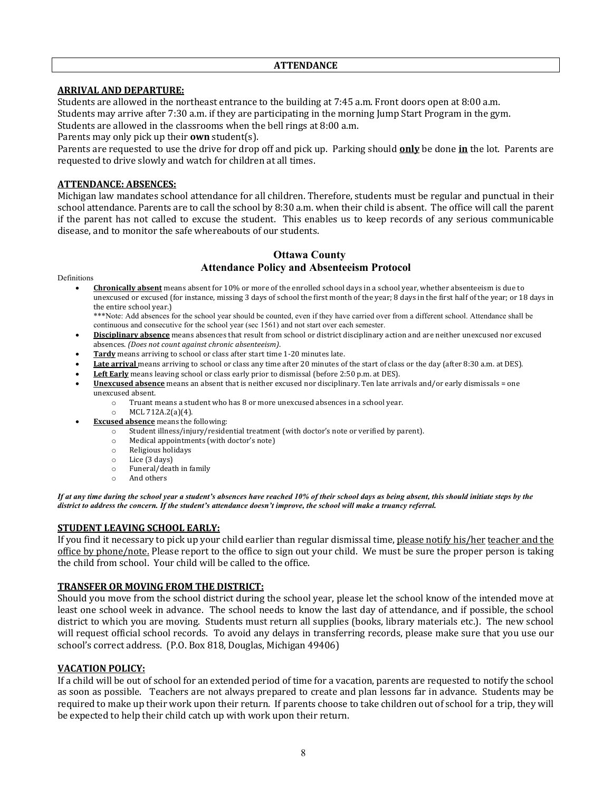# **ARRIVAL AND DEPARTURE:**

Students are allowed in the northeast entrance to the building at 7:45 a.m. Front doors open at 8:00 a.m. Students may arrive after 7:30 a.m. if they are participating in the morning Jump Start Program in the gym.

Students are allowed in the classrooms when the bell rings at 8:00 a.m.

Parents may only pick up their **own** student(s).

Parents are requested to use the drive for drop off and pick up. Parking should **only** be done in the lot. Parents are requested to drive slowly and watch for children at all times.

# **ATTENDANCE: ABSENCES:**

Michigan law mandates school attendance for all children. Therefore, students must be regular and punctual in their school attendance. Parents are to call the school by 8:30 a.m. when their child is absent. The office will call the parent if the parent has not called to excuse the student. This enables us to keep records of any serious communicable disease, and to monitor the safe whereabouts of our students.

# **Ottawa County Attendance Policy and Absenteeism Protocol**

Definitions

**Chronically absent** means absent for 10% or more of the enrolled school days in a school year, whether absenteeism is due to unexcused or excused (for instance, missing 3 days of school the first month of the year; 8 days in the first half of the year; or 18 days in the entire school year.)

\*\*\*Note: Add absences for the school year should be counted, even if they have carried over from a different school. Attendance shall be continuous and consecutive for the school year (sec 1561) and not start over each semester.

- Disciplinary absence means absences that result from school or district disciplinary action and are neither unexcused nor excused absences. *(Does not count against chronic absenteeism)*.
- **Tardy** means arriving to school or class after start time 1-20 minutes late.
- Late arrival means arriving to school or class any time after 20 minutes of the start of class or the day (after 8:30 a.m. at DES).
- Left Early means leaving school or class early prior to dismissal (before 2:50 p.m. at DES).
- Unexcused absence means an absent that is neither excused nor disciplinary. Ten late arrivals and/or early dismissals = one unexcused absent.
	- o Truant means a student who has 8 or more unexcused absences in a school year.
	- $O$  MCL 712A.2(a)(4).
	- **Excused absence** means the following:
		- $\overline{\circ}$  Student illness/injury/residential treatment (with doctor's note or verified by parent).
		- o Medical appointments (with doctor's note)
		- o Religious holidays
		- $\circ$  Lice (3 days)
		- $\circ$  Funeral/death in family
		- o And others

*If at any time during the school year a student's absences have reached 10% of their school days as being absent, this should initiate steps by the district to address the concern. If the student's attendance doesn't improve, the school will make a truancy referral.* 

# **STUDENT LEAVING SCHOOL EARLY:**

If you find it necessary to pick up your child earlier than regular dismissal time, please notify his/her teacher and the office by phone/note. Please report to the office to sign out your child. We must be sure the proper person is taking the child from school. Your child will be called to the office.

# **TRANSFER OR MOVING FROM THE DISTRICT:**

Should you move from the school district during the school year, please let the school know of the intended move at least one school week in advance. The school needs to know the last day of attendance, and if possible, the school district to which you are moving. Students must return all supplies (books, library materials etc.). The new school will request official school records. To avoid any delays in transferring records, please make sure that you use our school's correct address. (P.O. Box 818, Douglas, Michigan 49406)

# **VACATION POLICY:**

If a child will be out of school for an extended period of time for a vacation, parents are requested to notify the school as soon as possible. Teachers are not always prepared to create and plan lessons far in advance. Students may be required to make up their work upon their return. If parents choose to take children out of school for a trip, they will be expected to help their child catch up with work upon their return.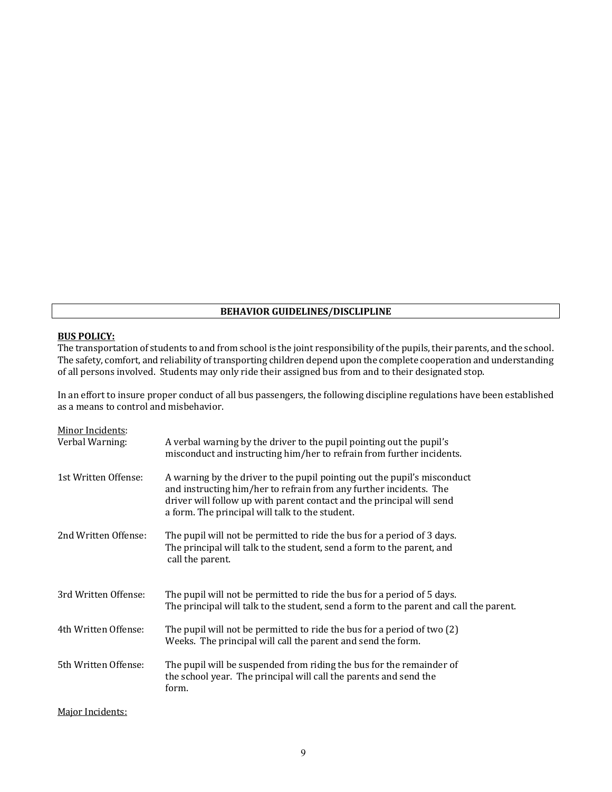# **BEHAVIOR GUIDELINES/DISCLIPLINE**

# **BUS POLICY:**

The transportation of students to and from school is the joint responsibility of the pupils, their parents, and the school. The safety, comfort, and reliability of transporting children depend upon the complete cooperation and understanding The safety, comfort, and reliability of transporting children depend upon the complete cooperation and un of all persons involved. Students may only ride their assigned bus from and to their designated stop.

In an effort to insure proper conduct of all bus passengers, the following discipline regulations have been established as a means to control and misbehavior.

| Minor Incidents:     |                                                                                                                                                                                                                                                                            |
|----------------------|----------------------------------------------------------------------------------------------------------------------------------------------------------------------------------------------------------------------------------------------------------------------------|
| Verbal Warning:      | A verbal warning by the driver to the pupil pointing out the pupil's<br>misconduct and instructing him/her to refrain from further incidents.                                                                                                                              |
| 1st Written Offense: | A warning by the driver to the pupil pointing out the pupil's misconduct<br>and instructing him/her to refrain from any further incidents. The<br>driver will follow up with parent contact and the principal will send<br>a form. The principal will talk to the student. |
| 2nd Written Offense: | The pupil will not be permitted to ride the bus for a period of 3 days.<br>The principal will talk to the student, send a form to the parent, and<br>call the parent.                                                                                                      |
| 3rd Written Offense: | The pupil will not be permitted to ride the bus for a period of 5 days.<br>The principal will talk to the student, send a form to the parent and call the parent.                                                                                                          |
| 4th Written Offense: | The pupil will not be permitted to ride the bus for a period of two (2)<br>Weeks. The principal will call the parent and send the form.                                                                                                                                    |
| 5th Written Offense: | The pupil will be suspended from riding the bus for the remainder of<br>the school year. The principal will call the parents and send the<br>form.                                                                                                                         |

Major Incidents: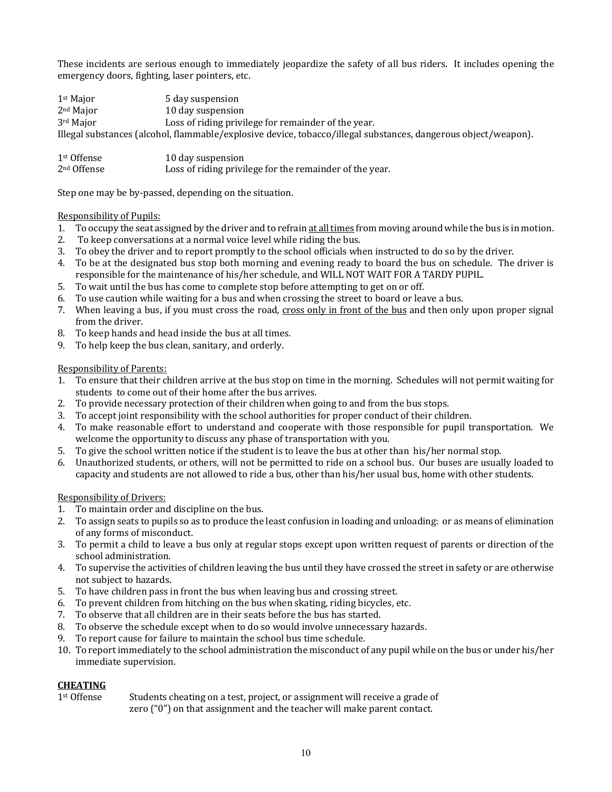These incidents are serious enough to immediately jeopardize the safety of all bus riders. It includes opening the emergency doors, fighting, laser pointers, etc.

 $1<sup>st</sup>$  Major 5 day suspension 2<sup>nd</sup> Major 10 day suspension  $3<sup>rd</sup>$  Major Loss of riding privilege for remainder of the year. Illegal substances (alcohol, flammable/explosive device, tobacco/illegal substances, dangerous object/weapon).

| 1 <sup>st</sup> Offense | 10 day suspension                                       |
|-------------------------|---------------------------------------------------------|
| 2 <sup>nd</sup> Offense | Loss of riding privilege for the remainder of the year. |

Step one may be by-passed, depending on the situation.

# Responsibility of Pupils:

- 1. To occupy the seat assigned by the driver and to refrain at all times from moving around while the bus is in motion.
- 2. To keep conversations at a normal voice level while riding the bus.
- 3. To obey the driver and to report promptly to the school officials when instructed to do so by the driver.
- 4. To be at the designated bus stop both morning and evening ready to board the bus on schedule. The driver is responsible for the maintenance of his/her schedule, and WILL NOT WAIT FOR A TARDY PUPIL.
- 5. To wait until the bus has come to complete stop before attempting to get on or off.
- 6. To use caution while waiting for a bus and when crossing the street to board or leave a bus.
- 7. When leaving a bus, if you must cross the road, cross only in front of the bus and then only upon proper signal from the driver.
- 8. To keep hands and head inside the bus at all times.
- 9. To help keep the bus clean, sanitary, and orderly.

# Responsibility of Parents:

- 1. To ensure that their children arrive at the bus stop on time in the morning. Schedules will not permit waiting for students to come out of their home after the bus arrives.
- 2. To provide necessary protection of their children when going to and from the bus stops.
- 3. To accept joint responsibility with the school authorities for proper conduct of their children.
- 4. To make reasonable effort to understand and cooperate with those responsible for pupil transportation. We welcome the opportunity to discuss any phase of transportation with you.
- 5. To give the school written notice if the student is to leave the bus at other than his/her normal stop.
- 6. Unauthorized students, or others, will not be permitted to ride on a school bus. Our buses are usually loaded to capacity and students are not allowed to ride a bus, other than his/her usual bus, home with other students.

# Responsibility of Drivers:

- 1. To maintain order and discipline on the bus.
- 2. To assign seats to pupils so as to produce the least confusion in loading and unloading: or as means of elimination of any forms of misconduct.
- 3. To permit a child to leave a bus only at regular stops except upon written request of parents or direction of the school administration.
- 4. To supervise the activities of children leaving the bus until they have crossed the street in safety or are otherwise not subject to hazards.
- 5. To have children pass in front the bus when leaving bus and crossing street.
- 6. To prevent children from hitching on the bus when skating, riding bicycles, etc.
- 7. To observe that all children are in their seats before the bus has started.
- 8. To observe the schedule except when to do so would involve unnecessary hazards.
- 9. To report cause for failure to maintain the school bus time schedule.
- 10. To report immediately to the school administration the misconduct of any pupil while on the bus or under his/her immediate supervision.

# **CHEATING**

 $1<sup>st</sup>$  Offense Students cheating on a test, project, or assignment will receive a grade of zero  $("0")$  on that assignment and the teacher will make parent contact.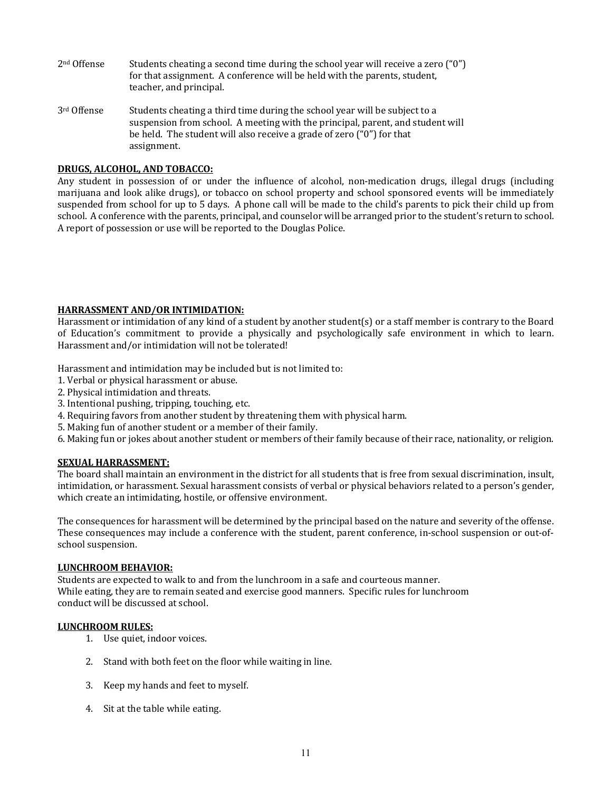- $2<sup>nd</sup>$  Offense Students cheating a second time during the school year will receive a zero ("0") for that assignment. A conference will be held with the parents, student, teacher, and principal.
- $3<sup>rd</sup>$  Offense Students cheating a third time during the school year will be subject to a suspension from school. A meeting with the principal, parent, and student will be held. The student will also receive a grade of zero  $("0")$  for that assignment.

# **DRUGS, ALCOHOL, AND TOBACCO:**

Any student in possession of or under the influence of alcohol, non-medication drugs, illegal drugs (including marijuana and look alike drugs), or tobacco on school property and school sponsored events will be immediately suspended from school for up to 5 days. A phone call will be made to the child's parents to pick their child up from school. A conference with the parents, principal, and counselor will be arranged prior to the student's return to school. A report of possession or use will be reported to the Douglas Police.

# **HARRASSMENT AND/OR INTIMIDATION:**

Harassment or intimidation of any kind of a student by another student(s) or a staff member is contrary to the Board of Education's commitment to provide a physically and psychologically safe environment in which to learn. Harassment and/or intimidation will not be tolerated!

Harassment and intimidation may be included but is not limited to:

- 1. Verbal or physical harassment or abuse.
- 2. Physical intimidation and threats.
- 3. Intentional pushing, tripping, touching, etc.
- 4. Requiring favors from another student by threatening them with physical harm.
- 5. Making fun of another student or a member of their family.
- 6. Making fun or jokes about another student or members of their family because of their race, nationality, or religion.

# **SEXUAL HARRASSMENT:**

The board shall maintain an environment in the district for all students that is free from sexual discrimination, insult, intimidation, or harassment. Sexual harassment consists of verbal or physical behaviors related to a person's gender, which create an intimidating, hostile, or offensive environment.

The consequences for harassment will be determined by the principal based on the nature and severity of the offense. These consequences may include a conference with the student, parent conference, in-school suspension or out-ofschool suspension.

#### **LUNCHROOM BEHAVIOR:**

Students are expected to walk to and from the lunchroom in a safe and courteous manner. While eating, they are to remain seated and exercise good manners. Specific rules for lunchroom conduct will be discussed at school.

# **LUNCHROOM RULES:**

- 1. Use quiet, indoor voices.
- 2. Stand with both feet on the floor while waiting in line.
- 3. Keep my hands and feet to myself.
- 4. Sit at the table while eating.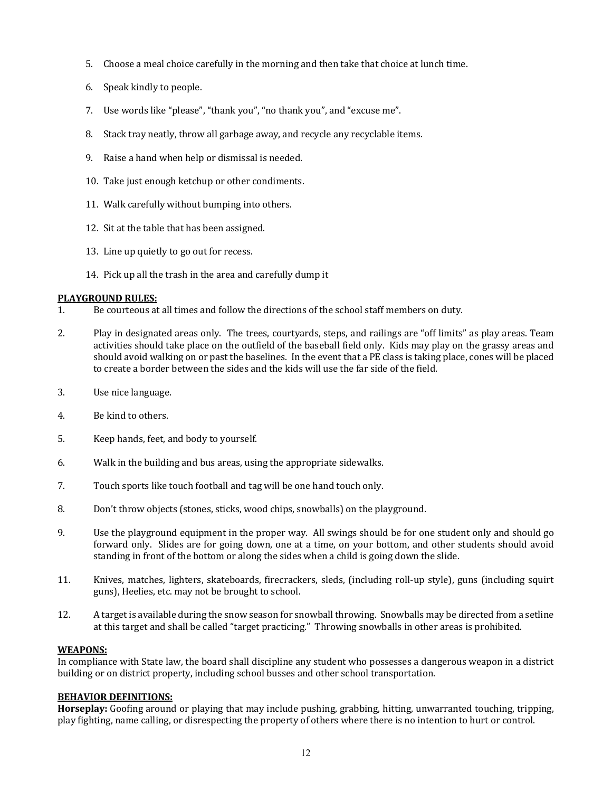- 5. Choose a meal choice carefully in the morning and then take that choice at lunch time.
- 6. Speak kindly to people.
- 7. Use words like "please", "thank you", "no thank you", and "excuse me".
- 8. Stack tray neatly, throw all garbage away, and recycle any recyclable items.
- 9. Raise a hand when help or dismissal is needed.
- 10. Take just enough ketchup or other condiments.
- 11. Walk carefully without bumping into others.
- 12. Sit at the table that has been assigned.
- 13. Line up quietly to go out for recess.
- 14. Pick up all the trash in the area and carefully dump it

# **PLAYGROUND RULES:**

- 1. Be courteous at all times and follow the directions of the school staff members on duty.
- 2. Play in designated areas only. The trees, courtyards, steps, and railings are "off limits" as play areas. Team activities should take place on the outfield of the baseball field only. Kids may play on the grassy areas and should avoid walking on or past the baselines. In the event that a PE class is taking place, cones will be placed to create a border between the sides and the kids will use the far side of the field.
- 3. Use nice language.
- 4. Be kind to others.
- 5. Keep hands, feet, and body to yourself.
- 6. Walk in the building and bus areas, using the appropriate sidewalks.
- 7. Touch sports like touch football and tag will be one hand touch only.
- 8. Don't throw objects (stones, sticks, wood chips, snowballs) on the playground.
- 9. Use the playground equipment in the proper way. All swings should be for one student only and should go forward only. Slides are for going down, one at a time, on your bottom, and other students should avoid standing in front of the bottom or along the sides when a child is going down the slide.
- 11. Knives, matches, lighters, skateboards, firecrackers, sleds, (including roll-up style), guns (including squirt guns). Heelies, etc. may not be brought to school.
- 12. A target is available during the snow season for snowball throwing. Snowballs may be directed from a setline at this target and shall be called "target practicing." Throwing snowballs in other areas is prohibited.

# **WEAPONS:**

In compliance with State law, the board shall discipline any student who possesses a dangerous weapon in a district building or on district property, including school busses and other school transportation.

# **BEHAVIOR DEFINITIONS:**

**Horseplay:** Goofing around or playing that may include pushing, grabbing, hitting, unwarranted touching, tripping, play fighting, name calling, or disrespecting the property of others where there is no intention to hurt or control.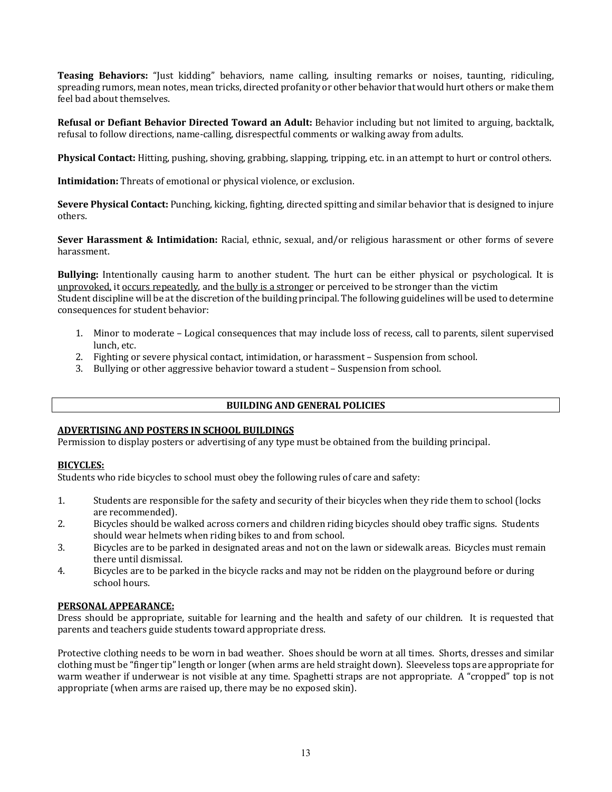**Teasing Behaviors:** "Just kidding" behaviors, name calling, insulting remarks or noises, taunting, ridiculing, spreading rumors, mean notes, mean tricks, directed profanity or other behavior that would hurt others or make them feel had about themselves.

**Refusal or Defiant Behavior Directed Toward an Adult:** Behavior including but not limited to arguing, backtalk, refusal to follow directions, name-calling, disrespectful comments or walking away from adults.

**Physical Contact:** Hitting, pushing, shoving, grabbing, slapping, tripping, etc. in an attempt to hurt or control others.

**Intimidation:** Threats of emotional or physical violence, or exclusion.

**Severe Physical Contact:** Punching, kicking, fighting, directed spitting and similar behavior that is designed to injure others.

**Sever Harassment & Intimidation:** Racial, ethnic, sexual, and/or religious harassment or other forms of severe harassment.

**Bullying:** Intentionally causing harm to another student. The hurt can be either physical or psychological. It is unprovoked, it occurs repeatedly, and the bully is a stronger or perceived to be stronger than the victim Student discipline will be at the discretion of the building principal. The following guidelines will be used to determine consequences for student behavior:

- 1. Minor to moderate Logical consequences that may include loss of recess, call to parents, silent supervised lunch, etc.
- 2. Fighting or severe physical contact, intimidation, or harassment Suspension from school.
- 3. Bullying or other aggressive behavior toward a student Suspension from school.

# **BUILDING AND GENERAL POLICIES**

# **ADVERTISING AND POSTERS IN SCHOOL BUILDINGS**

Permission to display posters or advertising of any type must be obtained from the building principal.

# **BICYCLES:**

Students who ride bicycles to school must obey the following rules of care and safety:

- 1. Students are responsible for the safety and security of their bicycles when they ride them to school (locks are recommended).
- 2. Bicycles should be walked across corners and children riding bicycles should obey traffic signs. Students should wear helmets when riding bikes to and from school.
- 3. Bicycles are to be parked in designated areas and not on the lawn or sidewalk areas. Bicycles must remain there until dismissal.
- 4. Bicycles are to be parked in the bicycle racks and may not be ridden on the playground before or during school hours.

# **PERSONAL APPEARANCE:**

Dress should be appropriate, suitable for learning and the health and safety of our children. It is requested that parents and teachers guide students toward appropriate dress.

Protective clothing needs to be worn in bad weather. Shoes should be worn at all times. Shorts, dresses and similar clothing must be "finger tip" length or longer (when arms are held straight down). Sleeveless tops are appropriate for warm weather if underwear is not visible at any time. Spaghetti straps are not appropriate. A "cropped" top is not appropriate (when arms are raised up, there may be no exposed skin).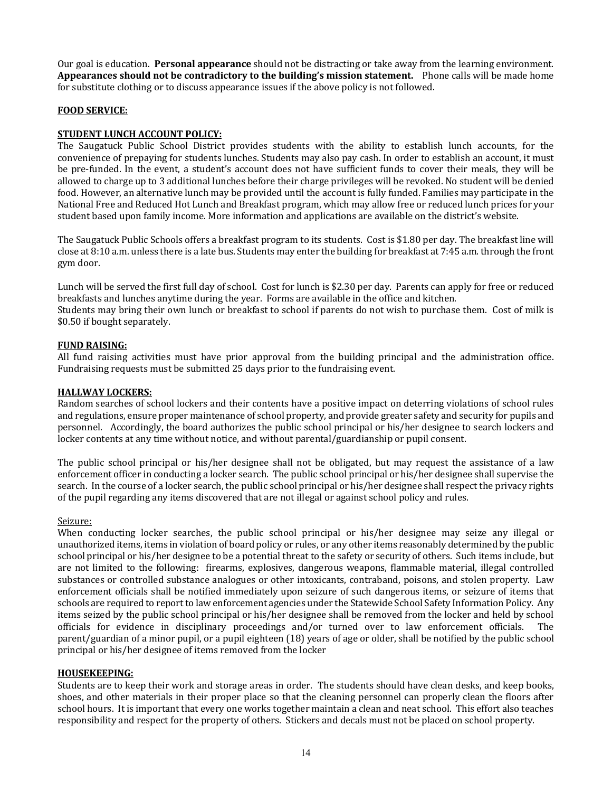Our goal is education. **Personal appearance** should not be distracting or take away from the learning environment. **Appearances should not be contradictory to the building's mission statement.** Phone calls will be made home for substitute clothing or to discuss appearance issues if the above policy is not followed.

# **FOOD SERVICE:**

# **STUDENT LUNCH ACCOUNT POLICY:**

The Saugatuck Public School District provides students with the ability to establish lunch accounts, for the convenience of prepaying for students lunches. Students may also pay cash. In order to establish an account, it must be pre-funded. In the event, a student's account does not have sufficient funds to cover their meals, they will be allowed to charge up to 3 additional lunches before their charge privileges will be revoked. No student will be denied food. However, an alternative lunch may be provided until the account is fully funded. Families may participate in the National Free and Reduced Hot Lunch and Breakfast program, which may allow free or reduced lunch prices for your student based upon family income. More information and applications are available on the district's website.

The Saugatuck Public Schools offers a breakfast program to its students. Cost is \$1.80 per day. The breakfast line will close at 8:10 a.m. unless there is a late bus. Students may enter the building for breakfast at 7:45 a.m. through the front gym door.

Lunch will be served the first full day of school. Cost for lunch is \$2.30 per day. Parents can apply for free or reduced breakfasts and lunches anytime during the year. Forms are available in the office and kitchen. Students may bring their own lunch or breakfast to school if parents do not wish to purchase them. Cost of milk is \$0.50 if bought separately.

# **FUND RAISING:**

All fund raising activities must have prior approval from the building principal and the administration office. Fundraising requests must be submitted 25 days prior to the fundraising event.

# **HALLWAY LOCKERS:**

Random searches of school lockers and their contents have a positive impact on deterring violations of school rules and regulations, ensure proper maintenance of school property, and provide greater safety and security for pupils and personnel. Accordingly, the board authorizes the public school principal or his/her designee to search lockers and locker contents at any time without notice, and without parental/guardianship or pupil consent.

The public school principal or his/her designee shall not be obligated, but may request the assistance of a law enforcement officer in conducting a locker search. The public school principal or his/her designee shall supervise the search. In the course of a locker search, the public school principal or his/her designee shall respect the privacy rights of the pupil regarding any items discovered that are not illegal or against school policy and rules.

# Seizure:

When conducting locker searches, the public school principal or his/her designee may seize any illegal or unauthorized items, items in violation of board policy or rules, or any other items reasonably determined by the public school principal or his/her designee to be a potential threat to the safety or security of others. Such items include, but are not limited to the following: firearms, explosives, dangerous weapons, flammable material, illegal controlled substances or controlled substance analogues or other intoxicants, contraband, poisons, and stolen property. Law enforcement officials shall be notified immediately upon seizure of such dangerous items, or seizure of items that schools are required to report to law enforcement agencies under the Statewide School Safety Information Policy. Any items seized by the public school principal or his/her designee shall be removed from the locker and held by school officials for evidence in disciplinary proceedings and/or turned over to law enforcement officials. The parent/guardian of a minor pupil, or a pupil eighteen (18) years of age or older, shall be notified by the public school principal or his/her designee of items removed from the locker

# **HOUSEKEEPING:**

Students are to keep their work and storage areas in order. The students should have clean desks, and keep books, shoes, and other materials in their proper place so that the cleaning personnel can properly clean the floors after school hours. It is important that every one works together maintain a clean and neat school. This effort also teaches responsibility and respect for the property of others. Stickers and decals must not be placed on school property.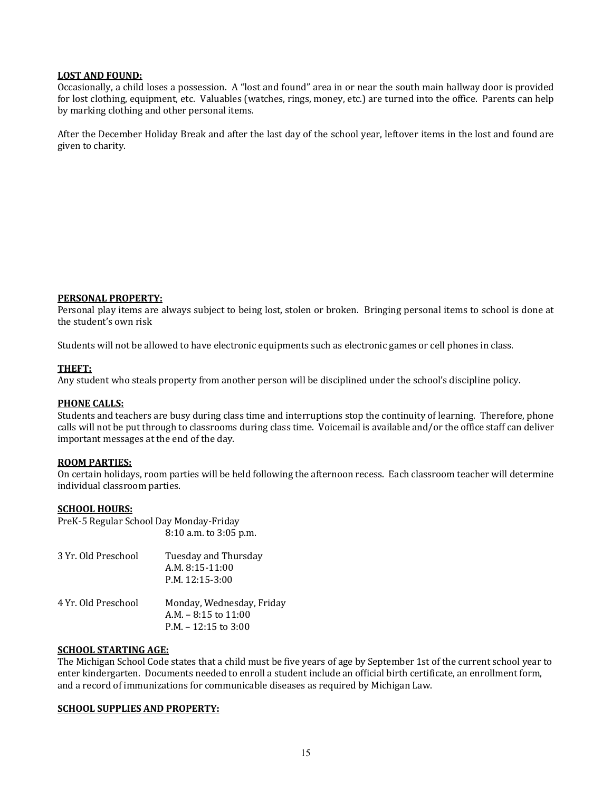# **LOST AND FOUND:**

Occasionally, a child loses a possession. A "lost and found" area in or near the south main hallway door is provided for lost clothing, equipment, etc. Valuables (watches, rings, money, etc.) are turned into the office. Parents can help by marking clothing and other personal items.

After the December Holiday Break and after the last day of the school year, leftover items in the lost and found are given to charity.

#### **PERSONAL PROPERTY:**

Personal play items are always subject to being lost, stolen or broken. Bringing personal items to school is done at the student's own risk

Students will not be allowed to have electronic equipments such as electronic games or cell phones in class.

# **THEFT:**

Any student who steals property from another person will be disciplined under the school's discipline policy.

#### **PHONE CALLS:**

Students and teachers are busy during class time and interruptions stop the continuity of learning. Therefore, phone calls will not be put through to classrooms during class time. Voicemail is available and/or the office staff can deliver important messages at the end of the day.

#### **ROOM PARTIES:**

On certain holidays, room parties will be held following the afternoon recess. Each classroom teacher will determine individual classroom parties.

#### **SCHOOL HOURS:**

PreK-5 Regular School Day Monday-Friday 8:10 a.m. to 3:05 p.m. 3 Yr. Old Preschool Tuesday and Thursday A.M. 8:15-11:00 P.M. 12:15-3:00 4 Yr. Old Preschool Monday, Wednesday, Friday A.M.  $-8:15$  to  $11:00$  $P.M. - 12:15$  to  $3:00$ 

# **SCHOOL STARTING AGE:**

The Michigan School Code states that a child must be five years of age by September 1st of the current school year to enter kindergarten. Documents needed to enroll a student include an official birth certificate, an enrollment form, and a record of immunizations for communicable diseases as required by Michigan Law.

#### **SCHOOL SUPPLIES AND PROPERTY:**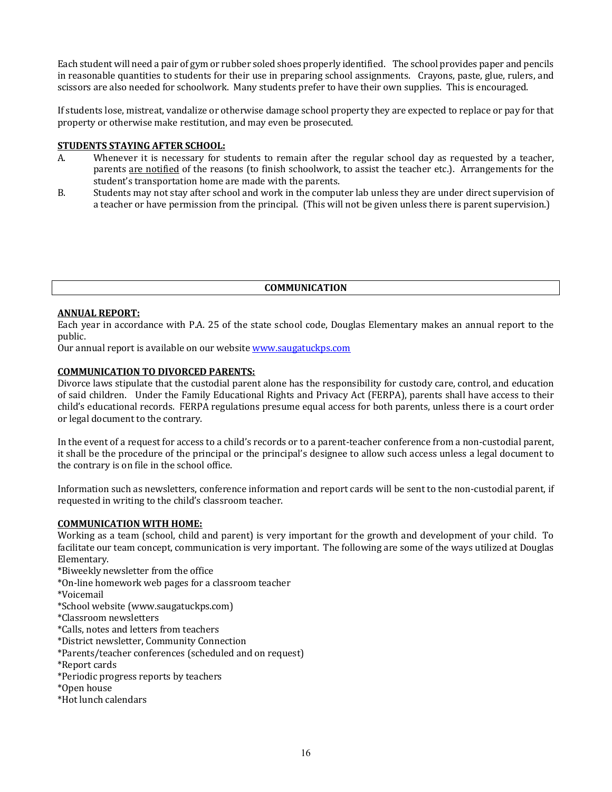Each student will need a pair of gym or rubber soled shoes properly identified. The school provides paper and pencils in reasonable quantities to students for their use in preparing school assignments. Crayons, paste, glue, rulers, and scissors are also needed for schoolwork. Many students prefer to have their own supplies. This is encouraged.

If students lose, mistreat, vandalize or otherwise damage school property they are expected to replace or pay for that property or otherwise make restitution, and may even be prosecuted.

# **STUDENTS STAYING AFTER SCHOOL:**

- A. Whenever it is necessary for students to remain after the regular school day as requested by a teacher, parents are notified of the reasons (to finish schoolwork, to assist the teacher etc.). Arrangements for the student's transportation home are made with the parents.
- B. Students may not stay after school and work in the computer lab unless they are under direct supervision of a teacher or have permission from the principal. (This will not be given unless there is parent supervision.)

# **COMMUNICATION**

# **ANNUAL REPORT:**

Each year in accordance with P.A. 25 of the state school code, Douglas Elementary makes an annual report to the public. 

Our annual report is available on our website **www.saugatuckps.com** 

# **COMMUNICATION TO DIVORCED PARENTS:**

Divorce laws stipulate that the custodial parent alone has the responsibility for custody care, control, and education of said children. Under the Family Educational Rights and Privacy Act (FERPA), parents shall have access to their child's educational records. FERPA regulations presume equal access for both parents, unless there is a court order or legal document to the contrary.

In the event of a request for access to a child's records or to a parent-teacher conference from a non-custodial parent, it shall be the procedure of the principal or the principal's designee to allow such access unless a legal document to the contrary is on file in the school office.

Information such as newsletters, conference information and report cards will be sent to the non-custodial parent, if requested in writing to the child's classroom teacher.

# **COMMUNICATION WITH HOME:**

Working as a team (school, child and parent) is very important for the growth and development of your child. To facilitate our team concept, communication is very important. The following are some of the ways utilized at Douglas Elementary.

\*Biweekly newsletter from the office

- \*On-line homework web pages for a classroom teacher
- \*Voicemail
- \*School website (www.saugatuckps.com)
- \*Classroom newsletters
- \*Calls, notes and letters from teachers
- \*District newsletter, Community Connection
- \*Parents/teacher conferences (scheduled and on request)
- \*Report cards
- \*Periodic progress reports by teachers
- \*Open house
- \*Hot lunch calendars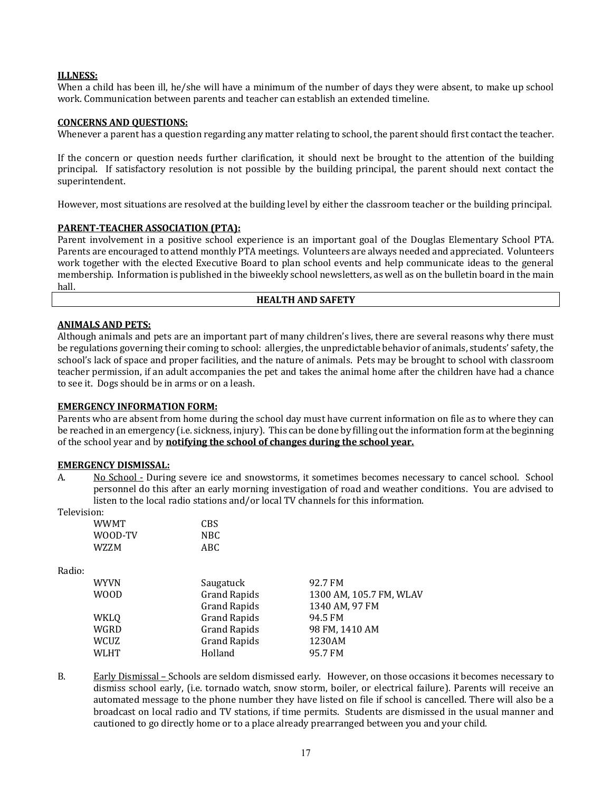# **ILLNESS:**

When a child has been ill, he/she will have a minimum of the number of days they were absent, to make up school work. Communication between parents and teacher can establish an extended timeline.

# **CONCERNS AND QUESTIONS:**

Whenever a parent has a question regarding any matter relating to school, the parent should first contact the teacher.

If the concern or question needs further clarification, it should next be brought to the attention of the building principal. If satisfactory resolution is not possible by the building principal, the parent should next contact the superintendent.

However, most situations are resolved at the building level by either the classroom teacher or the building principal.

# **PARENT-TEACHER ASSOCIATION (PTA):**

Parent involvement in a positive school experience is an important goal of the Douglas Elementary School PTA. Parents are encouraged to attend monthly PTA meetings. Volunteers are always needed and appreciated. Volunteers work together with the elected Executive Board to plan school events and help communicate ideas to the general membership. Information is published in the biweekly school newsletters, as well as on the bulletin board in the main hall.

# **HEALTH AND SAFETY**

# **ANIMALS AND PETS:**

Although animals and pets are an important part of many children's lives, there are several reasons why there must be regulations governing their coming to school: allergies, the unpredictable behavior of animals, students' safety, the school's lack of space and proper facilities, and the nature of animals. Pets may be brought to school with classroom teacher permission, if an adult accompanies the pet and takes the animal home after the children have had a chance to see it. Dogs should be in arms or on a leash.

# **EMERGENCY INFORMATION FORM:**

Parents who are absent from home during the school day must have current information on file as to where they can be reached in an emergency (i.e. sickness, injury). This can be done by filling out the information form at the beginning of the school year and by **notifying the school of changes during the school year.** 

#### **EMERGENCY DISMISSAL:**

A. No School - During severe ice and snowstorms, it sometimes becomes necessary to cancel school. School personnel do this after an early morning investigation of road and weather conditions. You are advised to listen to the local radio stations and/or local TV channels for this information.

Television:

| WWMT    | C <sub>B</sub> S |
|---------|------------------|
| WOOD-TV | NBC.             |
| W7.7.M  | ABC              |

Radio:

| <b>WYVN</b> | Saugatuck           | 92.7 FM                 |
|-------------|---------------------|-------------------------|
| <b>WOOD</b> | <b>Grand Rapids</b> | 1300 AM, 105.7 FM, WLAV |
|             | <b>Grand Rapids</b> | 1340 AM, 97 FM          |
| WKLQ        | <b>Grand Rapids</b> | 94.5 FM                 |
| WGRD        | <b>Grand Rapids</b> | 98 FM, 1410 AM          |
| WCUZ        | <b>Grand Rapids</b> | 1230AM                  |
| <b>WLHT</b> | Holland             | 95.7 FM                 |

B. Early Dismissal – Schools are seldom dismissed early. However, on those occasions it becomes necessary to dismiss school early, (i.e. tornado watch, snow storm, boiler, or electrical failure). Parents will receive an automated message to the phone number they have listed on file if school is cancelled. There will also be a broadcast on local radio and TV stations, if time permits. Students are dismissed in the usual manner and cautioned to go directly home or to a place already prearranged between you and your child.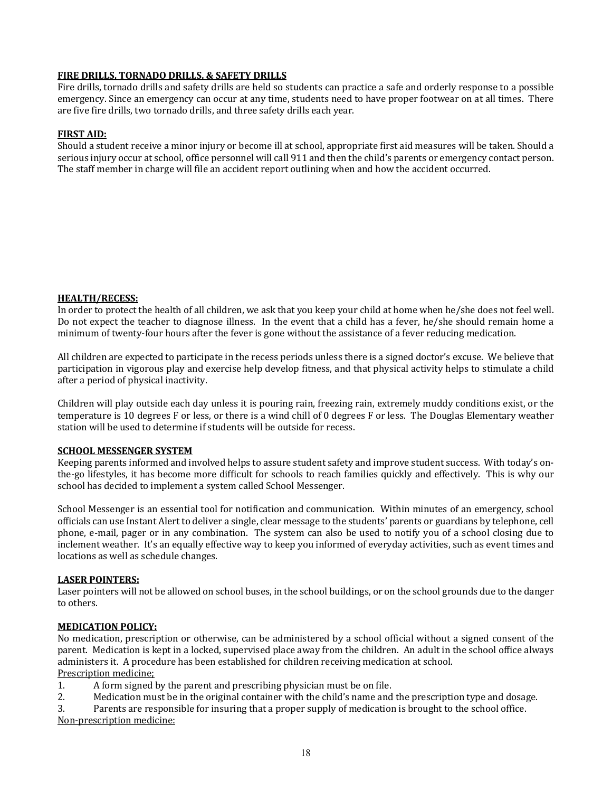# **FIRE DRILLS, TORNADO DRILLS, & SAFETY DRILLS**

Fire drills, tornado drills and safety drills are held so students can practice a safe and orderly response to a possible emergency. Since an emergency can occur at any time, students need to have proper footwear on at all times. There are five fire drills, two tornado drills, and three safety drills each year.

# **FIRST AID:**

Should a student receive a minor injury or become ill at school, appropriate first aid measures will be taken. Should a serious injury occur at school, office personnel will call 911 and then the child's parents or emergency contact person. The staff member in charge will file an accident report outlining when and how the accident occurred.

# **HEALTH/RECESS:**

In order to protect the health of all children, we ask that you keep your child at home when he/she does not feel well. Do not expect the teacher to diagnose illness. In the event that a child has a fever, he/she should remain home a minimum of twenty-four hours after the fever is gone without the assistance of a fever reducing medication.

All children are expected to participate in the recess periods unless there is a signed doctor's excuse. We believe that participation in vigorous play and exercise help develop fitness, and that physical activity helps to stimulate a child after a period of physical inactivity.

Children will play outside each day unless it is pouring rain, freezing rain, extremely muddy conditions exist, or the temperature is 10 degrees F or less, or there is a wind chill of 0 degrees F or less. The Douglas Elementary weather station will be used to determine if students will be outside for recess.

# **SCHOOL MESSENGER SYSTEM**

Keeping parents informed and involved helps to assure student safety and improve student success. With today's onthe-go lifestyles, it has become more difficult for schools to reach families quickly and effectively. This is why our school has decided to implement a system called School Messenger.

School Messenger is an essential tool for notification and communication. Within minutes of an emergency, school officials can use Instant Alert to deliver a single, clear message to the students' parents or guardians by telephone, cell phone, e-mail, pager or in any combination. The system can also be used to notify you of a school closing due to inclement weather. It's an equally effective way to keep you informed of everyday activities, such as event times and locations as well as schedule changes.

# **LASER POINTERS:**

Laser pointers will not be allowed on school buses, in the school buildings, or on the school grounds due to the danger to others.

# **MEDICATION POLICY:**

No medication, prescription or otherwise, can be administered by a school official without a signed consent of the parent. Medication is kept in a locked, supervised place away from the children. An adult in the school office always administers it. A procedure has been established for children receiving medication at school. Prescription medicine;

1. A form signed by the parent and prescribing physician must be on file.

2. Medication must be in the original container with the child's name and the prescription type and dosage.

3. Parents are responsible for insuring that a proper supply of medication is brought to the school office.

Non-prescription medicine: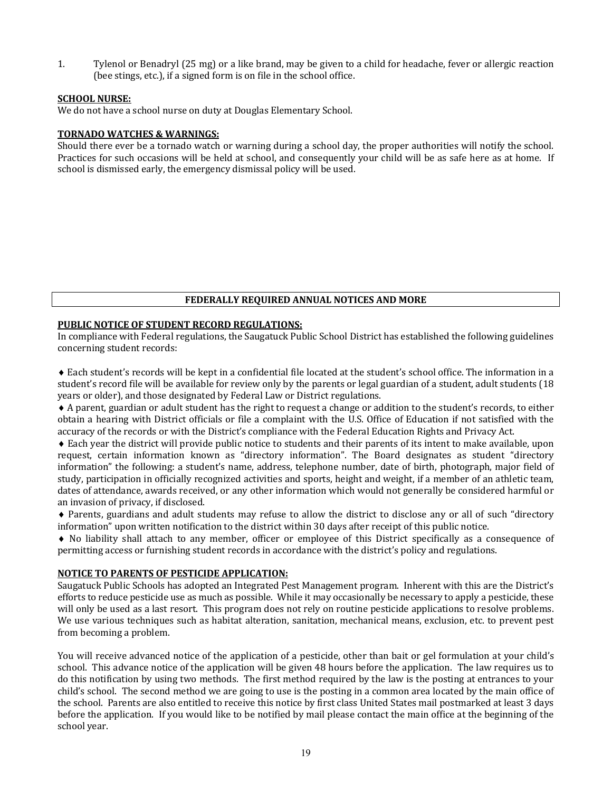1. Tylenol or Benadryl (25 mg) or a like brand, may be given to a child for headache, fever or allergic reaction (bee stings, etc.), if a signed form is on file in the school office.

# **SCHOOL NURSE:**

We do not have a school nurse on duty at Douglas Elementary School.

# **TORNADO WATCHES & WARNINGS:**

Should there ever be a tornado watch or warning during a school day, the proper authorities will notify the school. Practices for such occasions will be held at school, and consequently your child will be as safe here as at home. If school is dismissed early, the emergency dismissal policy will be used.

# **FEDERALLY REQUIRED ANNUAL NOTICES AND MORE**

# **PUBLIC NOTICE OF STUDENT RECORD REGULATIONS:**

In compliance with Federal regulations, the Saugatuck Public School District has established the following guidelines concerning student records:

 $\bullet$  Each student's records will be kept in a confidential file located at the student's school office. The information in a student's record file will be available for review only by the parents or legal guardian of a student, adult students (18) years or older), and those designated by Federal Law or District regulations.

◆ A parent, guardian or adult student has the right to request a change or addition to the student's records, to either obtain a hearing with District officials or file a complaint with the U.S. Office of Education if not satisfied with the accuracy of the records or with the District's compliance with the Federal Education Rights and Privacy Act.

 $\bullet$  Each vear the district will provide public notice to students and their parents of its intent to make available, upon request, certain information known as "directory information". The Board designates as student "directory information" the following: a student's name, address, telephone number, date of birth, photograph, major field of study, participation in officially recognized activities and sports, height and weight, if a member of an athletic team, dates of attendance, awards received, or any other information which would not generally be considered harmful or an invasion of privacy, if disclosed.

• Parents, guardians and adult students may refuse to allow the district to disclose any or all of such "directory information" upon written notification to the district within 30 days after receipt of this public notice.

• No liability shall attach to any member, officer or employee of this District specifically as a consequence of permitting access or furnishing student records in accordance with the district's policy and regulations.

# **NOTICE TO PARENTS OF PESTICIDE APPLICATION:**

Saugatuck Public Schools has adopted an Integrated Pest Management program. Inherent with this are the District's efforts to reduce pesticide use as much as possible. While it may occasionally be necessary to apply a pesticide, these will only be used as a last resort. This program does not rely on routine pesticide applications to resolve problems. We use various techniques such as habitat alteration, sanitation, mechanical means, exclusion, etc. to prevent pest from becoming a problem.

You will receive advanced notice of the application of a pesticide, other than bait or gel formulation at your child's school. This advance notice of the application will be given 48 hours before the application. The law requires us to do this notification by using two methods. The first method required by the law is the posting at entrances to your child's school. The second method we are going to use is the posting in a common area located by the main office of the school. Parents are also entitled to receive this notice by first class United States mail postmarked at least 3 days before the application. If you would like to be notified by mail please contact the main office at the beginning of the school year.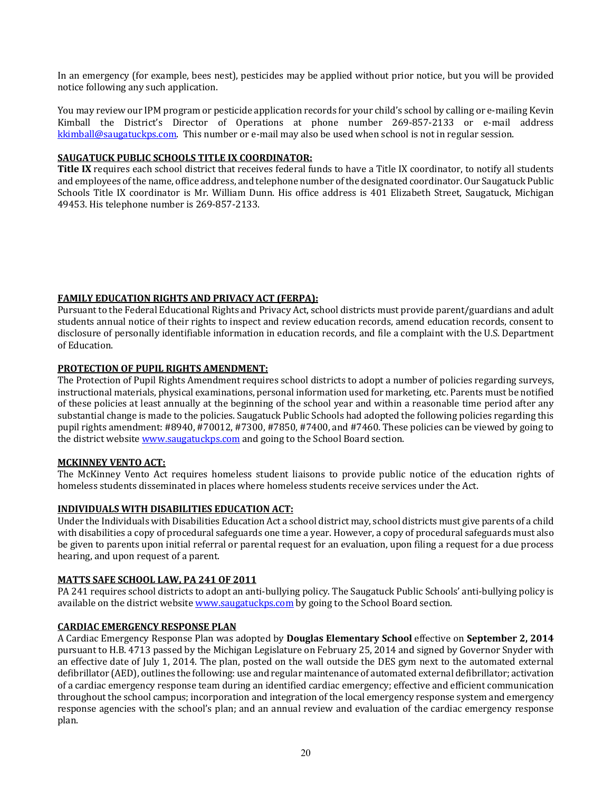In an emergency (for example, bees nest), pesticides may be applied without prior notice, but you will be provided notice following any such application.

You may review our IPM program or pesticide application records for your child's school by calling or e-mailing Kevin Kimball the District's Director of Operations at phone number 269-857-2133 or e-mail address  $kkimball@saugatuckps.com.$  This number or e-mail may also be used when school is not in regular session.

# **SAUGATUCK PUBLIC SCHOOLS TITLE IX COORDINATOR:**

**Title IX** requires each school district that receives federal funds to have a Title IX coordinator, to notify all students and employees of the name, office address, and telephone number of the designated coordinator. Our Saugatuck Public Schools Title IX coordinator is Mr. William Dunn. His office address is 401 Elizabeth Street, Saugatuck, Michigan 49453. His telephone number is 269-857-2133.

# **FAMILY EDUCATION RIGHTS AND PRIVACY ACT (FERPA):**

Pursuant to the Federal Educational Rights and Privacy Act, school districts must provide parent/guardians and adult students annual notice of their rights to inspect and review education records, amend education records, consent to disclosure of personally identifiable information in education records, and file a complaint with the U.S. Department of Education.

# **PROTECTION OF PUPIL RIGHTS AMENDMENT:**

The Protection of Pupil Rights Amendment requires school districts to adopt a number of policies regarding surveys, instructional materials, physical examinations, personal information used for marketing, etc. Parents must be notified of these policies at least annually at the beginning of the school year and within a reasonable time period after any substantial change is made to the policies. Saugatuck Public Schools had adopted the following policies regarding this pupil rights amendment:  $\#8940, \#70012, \#7300, \#7850, \#7400$ , and  $\#7460$ . These policies can be viewed by going to the district website **www.saugatuckps.com** and going to the School Board section.

# **MCKINNEY VENTO ACT:**

The McKinney Vento Act requires homeless student liaisons to provide public notice of the education rights of homeless students disseminated in places where homeless students receive services under the Act.

# **INDIVIDUALS WITH DISABILITIES EDUCATION ACT:**

Under the Individuals with Disabilities Education Act a school district may, school districts must give parents of a child with disabilities a copy of procedural safeguards one time a year. However, a copy of procedural safeguards must also be given to parents upon initial referral or parental request for an evaluation, upon filing a request for a due process hearing, and upon request of a parent.

# **MATTS SAFE SCHOOL LAW, PA 241 OF 2011**

PA 241 requires school districts to adopt an anti-bullying policy. The Saugatuck Public Schools' anti-bullying policy is available on the district website www.saugatuckps.com by going to the School Board section.

# **CARDIAC EMERGENCY RESPONSE PLAN**

A Cardiac Emergency Response Plan was adopted by **Douglas Elementary School** effective on **September 2, 2014** pursuant to H.B. 4713 passed by the Michigan Legislature on February 25, 2014 and signed by Governor Snyder with an effective date of July 1, 2014. The plan, posted on the wall outside the DES gym next to the automated external defibrillator (AED), outlines the following: use and regular maintenance of automated external defibrillator; activation of a cardiac emergency response team during an identified cardiac emergency; effective and efficient communication throughout the school campus; incorporation and integration of the local emergency response system and emergency response agencies with the school's plan; and an annual review and evaluation of the cardiac emergency response plan.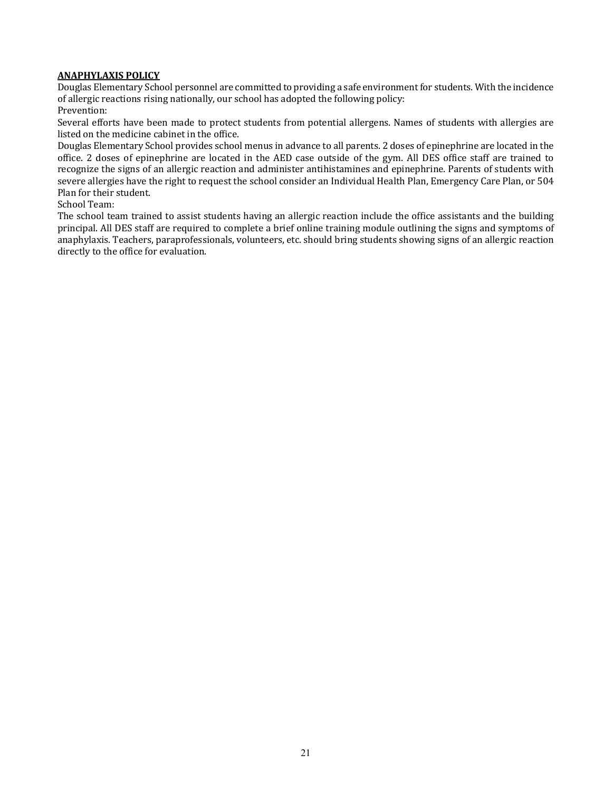# **ANAPHYLAXIS POLICY**

Douglas Elementary School personnel are committed to providing a safe environment for students. With the incidence of allergic reactions rising nationally, our school has adopted the following policy:

Prevention:

Several efforts have been made to protect students from potential allergens. Names of students with allergies are listed on the medicine cabinet in the office.

Douglas Elementary School provides school menus in advance to all parents. 2 doses of epinephrine are located in the office. 2 doses of epinephrine are located in the AED case outside of the gym. All DES office staff are trained to recognize the signs of an allergic reaction and administer antihistamines and epinephrine. Parents of students with severe allergies have the right to request the school consider an Individual Health Plan, Emergency Care Plan, or 504 Plan for their student.

School Team:

The school team trained to assist students having an allergic reaction include the office assistants and the building principal. All DES staff are required to complete a brief online training module outlining the signs and symptoms of anaphylaxis. Teachers, paraprofessionals, volunteers, etc. should bring students showing signs of an allergic reaction directly to the office for evaluation.